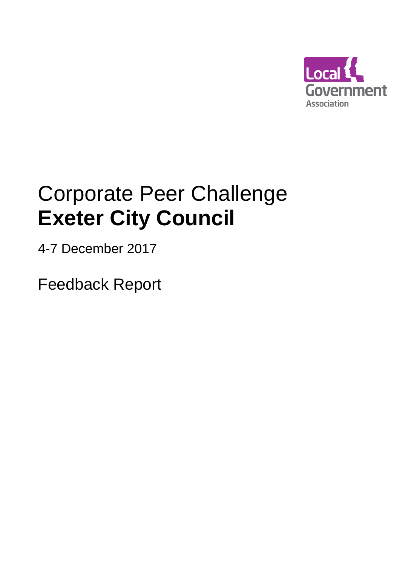

# Corporate Peer Challenge **Exeter City Council**

4-7 December 2017

Feedback Report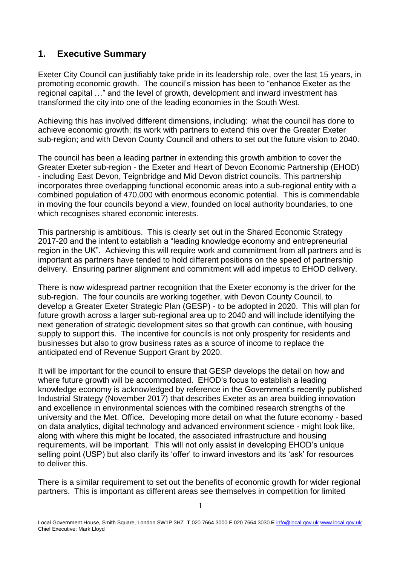## **1. Executive Summary**

Exeter City Council can justifiably take pride in its leadership role, over the last 15 years, in promoting economic growth. The council's mission has been to "enhance Exeter as the regional capital …" and the level of growth, development and inward investment has transformed the city into one of the leading economies in the South West.

Achieving this has involved different dimensions, including: what the council has done to achieve economic growth; its work with partners to extend this over the Greater Exeter sub-region; and with Devon County Council and others to set out the future vision to 2040.

The council has been a leading partner in extending this growth ambition to cover the Greater Exeter sub-region - the Exeter and Heart of Devon Economic Partnership (EHOD) - including East Devon, Teignbridge and Mid Devon district councils. This partnership incorporates three overlapping functional economic areas into a sub-regional entity with a combined population of 470,000 with enormous economic potential. This is commendable in moving the four councils beyond a view, founded on local authority boundaries, to one which recognises shared economic interests.

This partnership is ambitious. This is clearly set out in the Shared Economic Strategy 2017-20 and the intent to establish a "leading knowledge economy and entrepreneurial region in the UK". Achieving this will require work and commitment from all partners and is important as partners have tended to hold different positions on the speed of partnership delivery. Ensuring partner alignment and commitment will add impetus to EHOD delivery.

There is now widespread partner recognition that the Exeter economy is the driver for the sub-region. The four councils are working together, with Devon County Council, to develop a Greater Exeter Strategic Plan (GESP) - to be adopted in 2020. This will plan for future growth across a larger sub-regional area up to 2040 and will include identifying the next generation of strategic development sites so that growth can continue, with housing supply to support this. The incentive for councils is not only prosperity for residents and businesses but also to grow business rates as a source of income to replace the anticipated end of Revenue Support Grant by 2020.

It will be important for the council to ensure that GESP develops the detail on how and where future growth will be accommodated. EHOD's focus to establish a leading knowledge economy is acknowledged by reference in the Government's recently published Industrial Strategy (November 2017) that describes Exeter as an area building innovation and excellence in environmental sciences with the combined research strengths of the university and the Met. Office. Developing more detail on what the future economy - based on data analytics, digital technology and advanced environment science - might look like, along with where this might be located, the associated infrastructure and housing requirements, will be important. This will not only assist in developing EHOD's unique selling point (USP) but also clarify its 'offer' to inward investors and its 'ask' for resources to deliver this.

There is a similar requirement to set out the benefits of economic growth for wider regional partners. This is important as different areas see themselves in competition for limited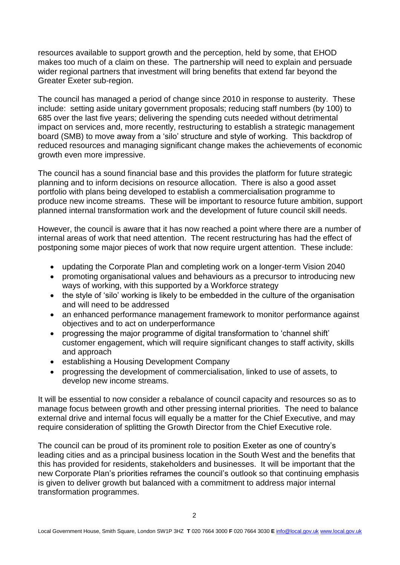resources available to support growth and the perception, held by some, that EHOD makes too much of a claim on these. The partnership will need to explain and persuade wider regional partners that investment will bring benefits that extend far beyond the Greater Exeter sub-region.

The council has managed a period of change since 2010 in response to austerity. These include: setting aside unitary government proposals; reducing staff numbers (by 100) to 685 over the last five years; delivering the spending cuts needed without detrimental impact on services and, more recently, restructuring to establish a strategic management board (SMB) to move away from a 'silo' structure and style of working. This backdrop of reduced resources and managing significant change makes the achievements of economic growth even more impressive.

The council has a sound financial base and this provides the platform for future strategic planning and to inform decisions on resource allocation. There is also a good asset portfolio with plans being developed to establish a commercialisation programme to produce new income streams. These will be important to resource future ambition, support planned internal transformation work and the development of future council skill needs.

However, the council is aware that it has now reached a point where there are a number of internal areas of work that need attention. The recent restructuring has had the effect of postponing some major pieces of work that now require urgent attention. These include:

- updating the Corporate Plan and completing work on a longer-term Vision 2040
- promoting organisational values and behaviours as a precursor to introducing new ways of working, with this supported by a Workforce strategy
- the style of 'silo' working is likely to be embedded in the culture of the organisation and will need to be addressed
- an enhanced performance management framework to monitor performance against objectives and to act on underperformance
- progressing the major programme of digital transformation to 'channel shift' customer engagement, which will require significant changes to staff activity, skills and approach
- establishing a Housing Development Company
- progressing the development of commercialisation, linked to use of assets, to develop new income streams.

It will be essential to now consider a rebalance of council capacity and resources so as to manage focus between growth and other pressing internal priorities. The need to balance external drive and internal focus will equally be a matter for the Chief Executive, and may require consideration of splitting the Growth Director from the Chief Executive role.

The council can be proud of its prominent role to position Exeter as one of country's leading cities and as a principal business location in the South West and the benefits that this has provided for residents, stakeholders and businesses. It will be important that the new Corporate Plan's priorities reframes the council's outlook so that continuing emphasis is given to deliver growth but balanced with a commitment to address major internal transformation programmes.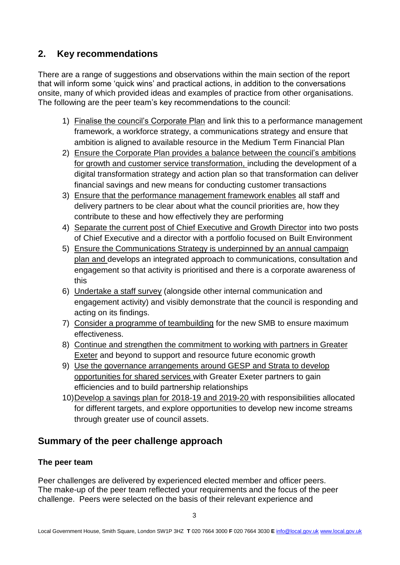# **2. Key recommendations**

There are a range of suggestions and observations within the main section of the report that will inform some 'quick wins' and practical actions, in addition to the conversations onsite, many of which provided ideas and examples of practice from other organisations. The following are the peer team's key recommendations to the council:

- 1) Finalise the council's Corporate Plan and link this to a performance management framework, a workforce strategy, a communications strategy and ensure that ambition is aligned to available resource in the Medium Term Financial Plan
- 2) Ensure the Corporate Plan provides a balance between the council's ambitions for growth and customer service transformation, including the development of a digital transformation strategy and action plan so that transformation can deliver financial savings and new means for conducting customer transactions
- 3) Ensure that the performance management framework enables all staff and delivery partners to be clear about what the council priorities are, how they contribute to these and how effectively they are performing
- 4) Separate the current post of Chief Executive and Growth Director into two posts of Chief Executive and a director with a portfolio focused on Built Environment
- 5) Ensure the Communications Strategy is underpinned by an annual campaign plan and develops an integrated approach to communications, consultation and engagement so that activity is prioritised and there is a corporate awareness of this
- 6) Undertake a staff survey (alongside other internal communication and engagement activity) and visibly demonstrate that the council is responding and acting on its findings.
- 7) Consider a programme of teambuilding for the new SMB to ensure maximum effectiveness.
- 8) Continue and strengthen the commitment to working with partners in Greater Exeter and beyond to support and resource future economic growth
- 9) Use the governance arrangements around GESP and Strata to develop opportunities for shared services with Greater Exeter partners to gain efficiencies and to build partnership relationships
- 10)Develop a savings plan for 2018-19 and 2019-20 with responsibilities allocated for different targets, and explore opportunities to develop new income streams through greater use of council assets.

# **Summary of the peer challenge approach**

## **The peer team**

Peer challenges are delivered by experienced elected member and officer peers. The make-up of the peer team reflected your requirements and the focus of the peer challenge. Peers were selected on the basis of their relevant experience and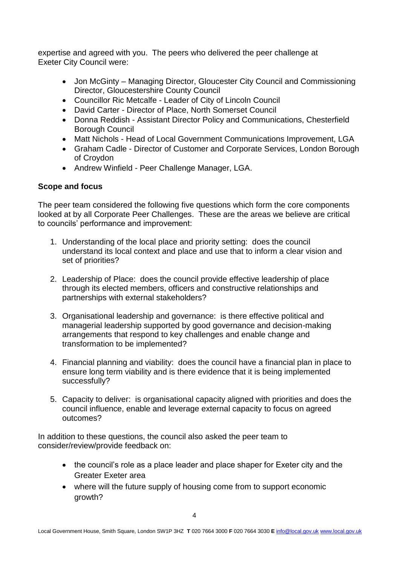expertise and agreed with you. The peers who delivered the peer challenge at Exeter City Council were:

- Jon McGinty Managing Director, Gloucester City Council and Commissioning Director, Gloucestershire County Council
- Councillor Ric Metcalfe Leader of City of Lincoln Council
- David Carter Director of Place, North Somerset Council
- Donna Reddish Assistant Director Policy and Communications, Chesterfield Borough Council
- Matt Nichols Head of Local Government Communications Improvement, LGA
- Graham Cadle Director of Customer and Corporate Services, London Borough of Croydon
- Andrew Winfield Peer Challenge Manager, LGA.

#### **Scope and focus**

The peer team considered the following five questions which form the core components looked at by all Corporate Peer Challenges. These are the areas we believe are critical to councils' performance and improvement:

- 1. Understanding of the local place and priority setting: does the council understand its local context and place and use that to inform a clear vision and set of priorities?
- 2. Leadership of Place: does the council provide effective leadership of place through its elected members, officers and constructive relationships and partnerships with external stakeholders?
- 3. Organisational leadership and governance: is there effective political and managerial leadership supported by good governance and decision-making arrangements that respond to key challenges and enable change and transformation to be implemented?
- 4. Financial planning and viability: does the council have a financial plan in place to ensure long term viability and is there evidence that it is being implemented successfully?
- 5. Capacity to deliver: is organisational capacity aligned with priorities and does the council influence, enable and leverage external capacity to focus on agreed outcomes?

In addition to these questions, the council also asked the peer team to consider/review/provide feedback on:

- the council's role as a place leader and place shaper for Exeter city and the Greater Exeter area
- where will the future supply of housing come from to support economic growth?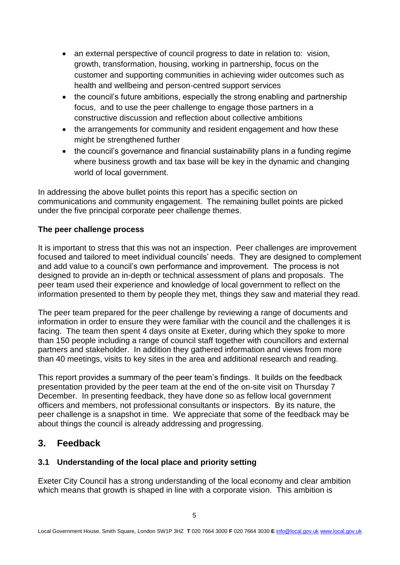- an external perspective of council progress to date in relation to: vision, growth, transformation, housing, working in partnership, focus on the customer and supporting communities in achieving wider outcomes such as health and wellbeing and person-centred support services
- the council's future ambitions, especially the strong enabling and partnership focus, and to use the peer challenge to engage those partners in a constructive discussion and reflection about collective ambitions
- the arrangements for community and resident engagement and how these might be strengthened further
- the council's governance and financial sustainability plans in a funding regime where business growth and tax base will be key in the dynamic and changing world of local government.

In addressing the above bullet points this report has a specific section on communications and community engagement. The remaining bullet points are picked under the five principal corporate peer challenge themes.

## **The peer challenge process**

It is important to stress that this was not an inspection. Peer challenges are improvement focused and tailored to meet individual councils' needs. They are designed to complement and add value to a council's own performance and improvement. The process is not designed to provide an in-depth or technical assessment of plans and proposals. The peer team used their experience and knowledge of local government to reflect on the information presented to them by people they met, things they saw and material they read.

The peer team prepared for the peer challenge by reviewing a range of documents and information in order to ensure they were familiar with the council and the challenges it is facing. The team then spent 4 days onsite at Exeter, during which they spoke to more than 150 people including a range of council staff together with councillors and external partners and stakeholder. In addition they gathered information and views from more than 40 meetings, visits to key sites in the area and additional research and reading.

This report provides a summary of the peer team's findings. It builds on the feedback presentation provided by the peer team at the end of the on-site visit on Thursday 7 December. In presenting feedback, they have done so as fellow local government officers and members, not professional consultants or inspectors. By its nature, the peer challenge is a snapshot in time. We appreciate that some of the feedback may be about things the council is already addressing and progressing.

# **3. Feedback**

## **3.1 Understanding of the local place and priority setting**

Exeter City Council has a strong understanding of the local economy and clear ambition which means that growth is shaped in line with a corporate vision. This ambition is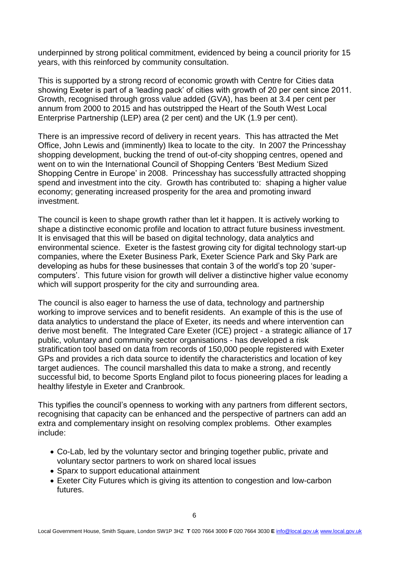underpinned by strong political commitment, evidenced by being a council priority for 15 years, with this reinforced by community consultation.

This is supported by a strong record of economic growth with Centre for Cities data showing Exeter is part of a 'leading pack' of cities with growth of 20 per cent since 2011. Growth, recognised through gross value added (GVA), has been at 3.4 per cent per annum from 2000 to 2015 and has outstripped the Heart of the South West Local Enterprise Partnership (LEP) area (2 per cent) and the UK (1.9 per cent).

There is an impressive record of delivery in recent years. This has attracted the Met Office, John Lewis and (imminently) Ikea to locate to the city. In 2007 the Princesshay shopping development, bucking the trend of out-of-city shopping centres, opened and went on to win the International Council of Shopping Centers 'Best Medium Sized Shopping Centre in Europe' in 2008. Princesshay has successfully attracted shopping spend and investment into the city. Growth has contributed to: shaping a higher value economy; generating increased prosperity for the area and promoting inward investment.

The council is keen to shape growth rather than let it happen. It is actively working to shape a distinctive economic profile and location to attract future business investment. It is envisaged that this will be based on digital technology, data analytics and environmental science. Exeter is the fastest growing city for digital technology start-up companies, where the Exeter Business Park, Exeter Science Park and Sky Park are developing as hubs for these businesses that contain 3 of the world's top 20 'supercomputers'. This future vision for growth will deliver a distinctive higher value economy which will support prosperity for the city and surrounding area.

The council is also eager to harness the use of data, technology and partnership working to improve services and to benefit residents. An example of this is the use of data analytics to understand the place of Exeter, its needs and where intervention can derive most benefit. The Integrated Care Exeter (ICE) project - a strategic alliance of 17 public, voluntary and community sector organisations - has developed a risk stratification tool based on data from records of 150,000 people registered with Exeter GPs and provides a rich data source to identify the characteristics and location of key target audiences. The council marshalled this data to make a strong, and recently successful bid, to become Sports England pilot to focus pioneering places for leading a healthy lifestyle in Exeter and Cranbrook.

This typifies the council's openness to working with any partners from different sectors, recognising that capacity can be enhanced and the perspective of partners can add an extra and complementary insight on resolving complex problems. Other examples include:

- Co-Lab, led by the voluntary sector and bringing together public, private and voluntary sector partners to work on shared local issues
- Sparx to support educational attainment
- Exeter City Futures which is giving its attention to congestion and low-carbon futures.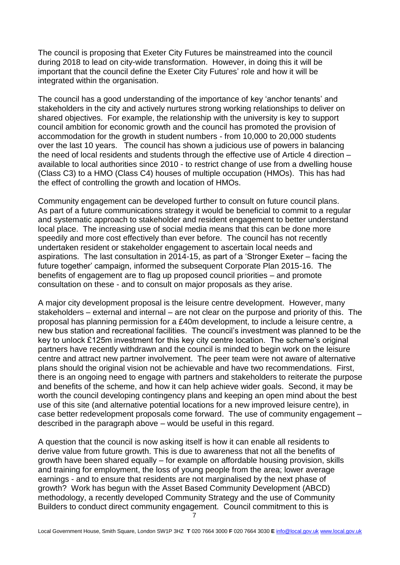The council is proposing that Exeter City Futures be mainstreamed into the council during 2018 to lead on city-wide transformation. However, in doing this it will be important that the council define the Exeter City Futures' role and how it will be integrated within the organisation.

The council has a good understanding of the importance of key 'anchor tenants' and stakeholders in the city and actively nurtures strong working relationships to deliver on shared objectives. For example, the relationship with the university is key to support council ambition for economic growth and the council has promoted the provision of accommodation for the growth in student numbers - from 10,000 to 20,000 students over the last 10 years. The council has shown a judicious use of powers in balancing the need of local residents and students through the effective use of Article 4 direction – available to local authorities since 2010 - to restrict change of use from a dwelling house (Class C3) to a HMO (Class C4) houses of multiple occupation (HMOs). This has had the effect of controlling the growth and location of HMOs.

Community engagement can be developed further to consult on future council plans. As part of a future communications strategy it would be beneficial to commit to a regular and systematic approach to stakeholder and resident engagement to better understand local place. The increasing use of social media means that this can be done more speedily and more cost effectively than ever before. The council has not recently undertaken resident or stakeholder engagement to ascertain local needs and aspirations. The last consultation in 2014-15, as part of a 'Stronger Exeter – facing the future together' campaign, informed the subsequent Corporate Plan 2015-16. The benefits of engagement are to flag up proposed council priorities – and promote consultation on these - and to consult on major proposals as they arise.

A major city development proposal is the leisure centre development. However, many stakeholders – external and internal – are not clear on the purpose and priority of this. The proposal has planning permission for a £40m development, to include a leisure centre, a new bus station and recreational facilities. The council's investment was planned to be the key to unlock £125m investment for this key city centre location. The scheme's original partners have recently withdrawn and the council is minded to begin work on the leisure centre and attract new partner involvement. The peer team were not aware of alternative plans should the original vision not be achievable and have two recommendations. First, there is an ongoing need to engage with partners and stakeholders to reiterate the purpose and benefits of the scheme, and how it can help achieve wider goals. Second, it may be worth the council developing contingency plans and keeping an open mind about the best use of this site (and alternative potential locations for a new improved leisure centre), in case better redevelopment proposals come forward. The use of community engagement – described in the paragraph above – would be useful in this regard.

A question that the council is now asking itself is how it can enable all residents to derive value from future growth. This is due to awareness that not all the benefits of growth have been shared equally – for example on affordable housing provision, skills and training for employment, the loss of young people from the area; lower average earnings - and to ensure that residents are not marginalised by the next phase of growth? Work has begun with the Asset Based Community Development (ABCD) methodology, a recently developed Community Strategy and the use of Community Builders to conduct direct community engagement. Council commitment to this is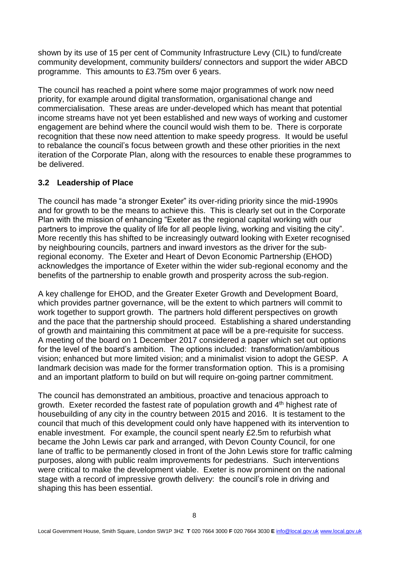shown by its use of 15 per cent of Community Infrastructure Levy (CIL) to fund/create community development, community builders/ connectors and support the wider ABCD programme. This amounts to £3.75m over 6 years.

The council has reached a point where some major programmes of work now need priority, for example around digital transformation, organisational change and commercialisation. These areas are under-developed which has meant that potential income streams have not yet been established and new ways of working and customer engagement are behind where the council would wish them to be. There is corporate recognition that these now need attention to make speedy progress. It would be useful to rebalance the council's focus between growth and these other priorities in the next iteration of the Corporate Plan, along with the resources to enable these programmes to be delivered.

## **3.2 Leadership of Place**

The council has made "a stronger Exeter" its over-riding priority since the mid-1990s and for growth to be the means to achieve this. This is clearly set out in the Corporate Plan with the mission of enhancing "Exeter as the regional capital working with our partners to improve the quality of life for all people living, working and visiting the city". More recently this has shifted to be increasingly outward looking with Exeter recognised by neighbouring councils, partners and inward investors as the driver for the subregional economy. The Exeter and Heart of Devon Economic Partnership (EHOD) acknowledges the importance of Exeter within the wider sub-regional economy and the benefits of the partnership to enable growth and prosperity across the sub-region.

A key challenge for EHOD, and the Greater Exeter Growth and Development Board, which provides partner governance, will be the extent to which partners will commit to work together to support growth. The partners hold different perspectives on growth and the pace that the partnership should proceed. Establishing a shared understanding of growth and maintaining this commitment at pace will be a pre-requisite for success. A meeting of the board on 1 December 2017 considered a paper which set out options for the level of the board's ambition. The options included: transformation/ambitious vision; enhanced but more limited vision; and a minimalist vision to adopt the GESP. A landmark decision was made for the former transformation option. This is a promising and an important platform to build on but will require on-going partner commitment.

The council has demonstrated an ambitious, proactive and tenacious approach to growth. Exeter recorded the fastest rate of population growth and  $4<sup>th</sup>$  highest rate of housebuilding of any city in the country between 2015 and 2016. It is testament to the council that much of this development could only have happened with its intervention to enable investment. For example, the council spent nearly £2.5m to refurbish what became the John Lewis car park and arranged, with Devon County Council, for one lane of traffic to be permanently closed in front of the John Lewis store for traffic calming purposes, along with public realm improvements for pedestrians. Such interventions were critical to make the development viable. Exeter is now prominent on the national stage with a record of impressive growth delivery: the council's role in driving and shaping this has been essential.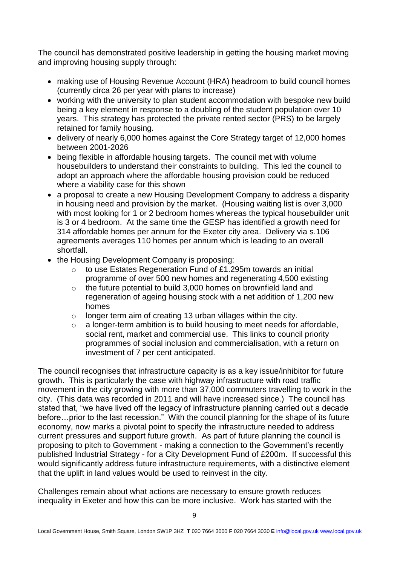The council has demonstrated positive leadership in getting the housing market moving and improving housing supply through:

- making use of Housing Revenue Account (HRA) headroom to build council homes (currently circa 26 per year with plans to increase)
- working with the university to plan student accommodation with bespoke new build being a key element in response to a doubling of the student population over 10 years. This strategy has protected the private rented sector (PRS) to be largely retained for family housing.
- delivery of nearly 6,000 homes against the Core Strategy target of 12,000 homes between 2001-2026
- being flexible in affordable housing targets. The council met with volume housebuilders to understand their constraints to building. This led the council to adopt an approach where the affordable housing provision could be reduced where a viability case for this shown
- a proposal to create a new Housing Development Company to address a disparity in housing need and provision by the market. (Housing waiting list is over 3,000 with most looking for 1 or 2 bedroom homes whereas the typical housebuilder unit is 3 or 4 bedroom. At the same time the GESP has identified a growth need for 314 affordable homes per annum for the Exeter city area. Delivery via s.106 agreements averages 110 homes per annum which is leading to an overall shortfall.
- the Housing Development Company is proposing:
	- o to use Estates Regeneration Fund of £1.295m towards an initial programme of over 500 new homes and regenerating 4,500 existing
	- o the future potential to build 3,000 homes on brownfield land and regeneration of ageing housing stock with a net addition of 1,200 new homes
	- $\circ$  longer term aim of creating 13 urban villages within the city.
	- o a longer-term ambition is to build housing to meet needs for affordable, social rent, market and commercial use. This links to council priority programmes of social inclusion and commercialisation, with a return on investment of 7 per cent anticipated.

The council recognises that infrastructure capacity is as a key issue/inhibitor for future growth. This is particularly the case with highway infrastructure with road traffic movement in the city growing with more than 37,000 commuters travelling to work in the city. (This data was recorded in 2011 and will have increased since.) The council has stated that, "we have lived off the legacy of infrastructure planning carried out a decade before…prior to the last recession." With the council planning for the shape of its future economy, now marks a pivotal point to specify the infrastructure needed to address current pressures and support future growth. As part of future planning the council is proposing to pitch to Government - making a connection to the Government's recently published Industrial Strategy - for a City Development Fund of £200m. If successful this would significantly address future infrastructure requirements, with a distinctive element that the uplift in land values would be used to reinvest in the city.

Challenges remain about what actions are necessary to ensure growth reduces inequality in Exeter and how this can be more inclusive. Work has started with the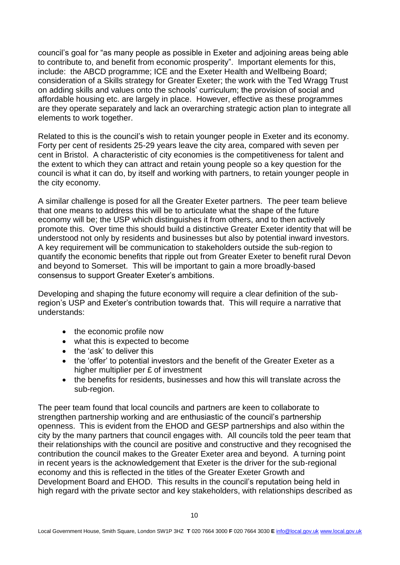council's goal for "as many people as possible in Exeter and adjoining areas being able to contribute to, and benefit from economic prosperity". Important elements for this, include: the ABCD programme; ICE and the Exeter Health and Wellbeing Board; consideration of a Skills strategy for Greater Exeter; the work with the Ted Wragg Trust on adding skills and values onto the schools' curriculum; the provision of social and affordable housing etc. are largely in place. However, effective as these programmes are they operate separately and lack an overarching strategic action plan to integrate all elements to work together.

Related to this is the council's wish to retain younger people in Exeter and its economy. Forty per cent of residents 25-29 years leave the city area, compared with seven per cent in Bristol. A characteristic of city economies is the competitiveness for talent and the extent to which they can attract and retain young people so a key question for the council is what it can do, by itself and working with partners, to retain younger people in the city economy.

A similar challenge is posed for all the Greater Exeter partners. The peer team believe that one means to address this will be to articulate what the shape of the future economy will be; the USP which distinguishes it from others, and to then actively promote this. Over time this should build a distinctive Greater Exeter identity that will be understood not only by residents and businesses but also by potential inward investors. A key requirement will be communication to stakeholders outside the sub-region to quantify the economic benefits that ripple out from Greater Exeter to benefit rural Devon and beyond to Somerset. This will be important to gain a more broadly-based consensus to support Greater Exeter's ambitions.

Developing and shaping the future economy will require a clear definition of the subregion's USP and Exeter's contribution towards that. This will require a narrative that understands:

- the economic profile now
- what this is expected to become
- the 'ask' to deliver this
- the 'offer' to potential investors and the benefit of the Greater Exeter as a higher multiplier per £ of investment
- the benefits for residents, businesses and how this will translate across the sub-region.

The peer team found that local councils and partners are keen to collaborate to strengthen partnership working and are enthusiastic of the council's partnership openness. This is evident from the EHOD and GESP partnerships and also within the city by the many partners that council engages with. All councils told the peer team that their relationships with the council are positive and constructive and they recognised the contribution the council makes to the Greater Exeter area and beyond. A turning point in recent years is the acknowledgement that Exeter is the driver for the sub-regional economy and this is reflected in the titles of the Greater Exeter Growth and Development Board and EHOD. This results in the council's reputation being held in high regard with the private sector and key stakeholders, with relationships described as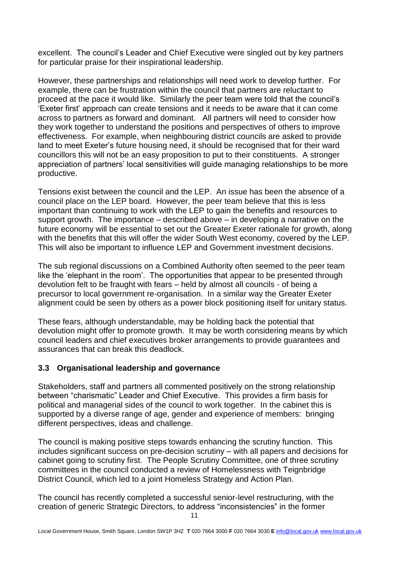excellent. The council's Leader and Chief Executive were singled out by key partners for particular praise for their inspirational leadership.

However, these partnerships and relationships will need work to develop further. For example, there can be frustration within the council that partners are reluctant to proceed at the pace it would like. Similarly the peer team were told that the council's 'Exeter first' approach can create tensions and it needs to be aware that it can come across to partners as forward and dominant. All partners will need to consider how they work together to understand the positions and perspectives of others to improve effectiveness. For example, when neighbouring district councils are asked to provide land to meet Exeter's future housing need, it should be recognised that for their ward councillors this will not be an easy proposition to put to their constituents. A stronger appreciation of partners' local sensitivities will guide managing relationships to be more productive.

Tensions exist between the council and the LEP. An issue has been the absence of a council place on the LEP board. However, the peer team believe that this is less important than continuing to work with the LEP to gain the benefits and resources to support growth. The importance – described above – in developing a narrative on the future economy will be essential to set out the Greater Exeter rationale for growth, along with the benefits that this will offer the wider South West economy, covered by the LEP. This will also be important to influence LEP and Government investment decisions.

The sub regional discussions on a Combined Authority often seemed to the peer team like the 'elephant in the room'. The opportunities that appear to be presented through devolution felt to be fraught with fears – held by almost all councils - of being a precursor to local government re-organisation. In a similar way the Greater Exeter alignment could be seen by others as a power block positioning itself for unitary status.

These fears, although understandable, may be holding back the potential that devolution might offer to promote growth. It may be worth considering means by which council leaders and chief executives broker arrangements to provide guarantees and assurances that can break this deadlock.

## **3.3 Organisational leadership and governance**

Stakeholders, staff and partners all commented positively on the strong relationship between "charismatic" Leader and Chief Executive. This provides a firm basis for political and managerial sides of the council to work together. In the cabinet this is supported by a diverse range of age, gender and experience of members: bringing different perspectives, ideas and challenge.

The council is making positive steps towards enhancing the scrutiny function. This includes significant success on pre-decision scrutiny – with all papers and decisions for cabinet going to scrutiny first. The People Scrutiny Committee, one of three scrutiny committees in the council conducted a review of Homelessness with Teignbridge District Council, which led to a joint Homeless Strategy and Action Plan.

The council has recently completed a successful senior-level restructuring, with the creation of generic Strategic Directors, to address "inconsistencies" in the former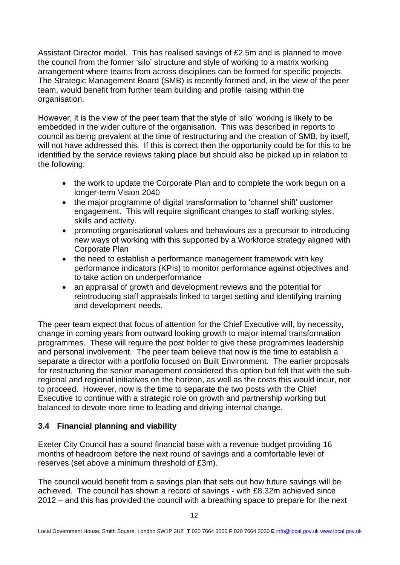Assistant Director model. This has realised savings of £2.5m and is planned to move the council from the former 'silo' structure and style of working to a matrix working arrangement where teams from across disciplines can be formed for specific projects. The Strategic Management Board (SMB) is recently formed and, in the view of the peer team, would benefit from further team building and profile raising within the organisation.

However, it is the view of the peer team that the style of 'silo' working is likely to be embedded in the wider culture of the organisation. This was described in reports to council as being prevalent at the time of restructuring and the creation of SMB, by itself, will not have addressed this. If this is correct then the opportunity could be for this to be identified by the service reviews taking place but should also be picked up in relation to the following:

- the work to update the Corporate Plan and to complete the work begun on a longer-term Vision 2040
- the major programme of digital transformation to 'channel shift' customer engagement. This will require significant changes to staff working styles, skills and activity.
- promoting organisational values and behaviours as a precursor to introducing new ways of working with this supported by a Workforce strategy aligned with Corporate Plan
- the need to establish a performance management framework with key performance indicators (KPIs) to monitor performance against objectives and to take action on underperformance
- an appraisal of growth and development reviews and the potential for reintroducing staff appraisals linked to target setting and identifying training and development needs.

The peer team expect that focus of attention for the Chief Executive will, by necessity, change in coming years from outward looking growth to major internal transformation programmes. These will require the post holder to give these programmes leadership and personal involvement. The peer team believe that now is the time to establish a separate a director with a portfolio focused on Built Environment. The earlier proposals for restructuring the senior management considered this option but felt that with the subregional and regional initiatives on the horizon, as well as the costs this would incur, not to proceed. However, now is the time to separate the two posts with the Chief Executive to continue with a strategic role on growth and partnership working but balanced to devote more time to leading and driving internal change.

## **3.4 Financial planning and viability**

Exeter City Council has a sound financial base with a revenue budget providing 16 months of headroom before the next round of savings and a comfortable level of reserves (set above a minimum threshold of £3m).

The council would benefit from a savings plan that sets out how future savings will be achieved. The council has shown a record of savings - with £8.32m achieved since 2012 – and this has provided the council with a breathing space to prepare for the next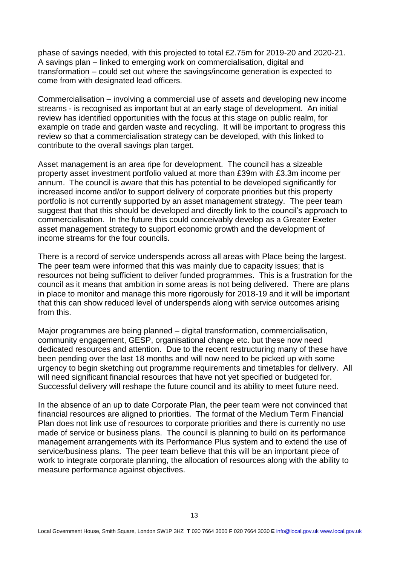phase of savings needed, with this projected to total £2.75m for 2019-20 and 2020-21. A savings plan – linked to emerging work on commercialisation, digital and transformation – could set out where the savings/income generation is expected to come from with designated lead officers.

Commercialisation – involving a commercial use of assets and developing new income streams - is recognised as important but at an early stage of development. An initial review has identified opportunities with the focus at this stage on public realm, for example on trade and garden waste and recycling. It will be important to progress this review so that a commercialisation strategy can be developed, with this linked to contribute to the overall savings plan target.

Asset management is an area ripe for development. The council has a sizeable property asset investment portfolio valued at more than £39m with £3.3m income per annum. The council is aware that this has potential to be developed significantly for increased income and/or to support delivery of corporate priorities but this property portfolio is not currently supported by an asset management strategy. The peer team suggest that that this should be developed and directly link to the council's approach to commercialisation. In the future this could conceivably develop as a Greater Exeter asset management strategy to support economic growth and the development of income streams for the four councils.

There is a record of service underspends across all areas with Place being the largest. The peer team were informed that this was mainly due to capacity issues; that is resources not being sufficient to deliver funded programmes. This is a frustration for the council as it means that ambition in some areas is not being delivered. There are plans in place to monitor and manage this more rigorously for 2018-19 and it will be important that this can show reduced level of underspends along with service outcomes arising from this.

Major programmes are being planned – digital transformation, commercialisation, community engagement, GESP, organisational change etc. but these now need dedicated resources and attention. Due to the recent restructuring many of these have been pending over the last 18 months and will now need to be picked up with some urgency to begin sketching out programme requirements and timetables for delivery. All will need significant financial resources that have not yet specified or budgeted for. Successful delivery will reshape the future council and its ability to meet future need.

In the absence of an up to date Corporate Plan, the peer team were not convinced that financial resources are aligned to priorities. The format of the Medium Term Financial Plan does not link use of resources to corporate priorities and there is currently no use made of service or business plans. The council is planning to build on its performance management arrangements with its Performance Plus system and to extend the use of service/business plans. The peer team believe that this will be an important piece of work to integrate corporate planning, the allocation of resources along with the ability to measure performance against objectives.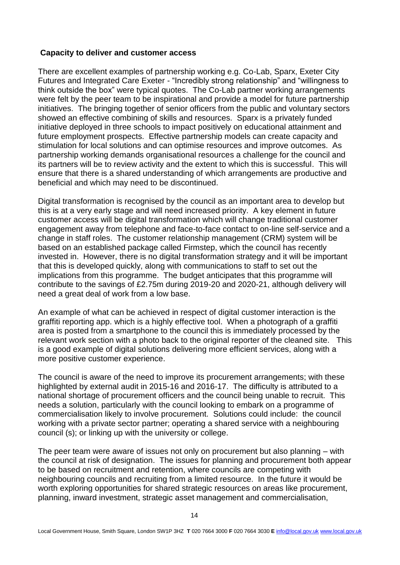#### **Capacity to deliver and customer access**

There are excellent examples of partnership working e.g. Co-Lab, Sparx, Exeter City Futures and Integrated Care Exeter - "Incredibly strong relationship" and "willingness to think outside the box" were typical quotes. The Co-Lab partner working arrangements were felt by the peer team to be inspirational and provide a model for future partnership initiatives. The bringing together of senior officers from the public and voluntary sectors showed an effective combining of skills and resources. Sparx is a privately funded initiative deployed in three schools to impact positively on educational attainment and future employment prospects. Effective partnership models can create capacity and stimulation for local solutions and can optimise resources and improve outcomes. As partnership working demands organisational resources a challenge for the council and its partners will be to review activity and the extent to which this is successful. This will ensure that there is a shared understanding of which arrangements are productive and beneficial and which may need to be discontinued.

Digital transformation is recognised by the council as an important area to develop but this is at a very early stage and will need increased priority. A key element in future customer access will be digital transformation which will change traditional customer engagement away from telephone and face-to-face contact to on-line self-service and a change in staff roles. The customer relationship management (CRM) system will be based on an established package called Firmstep, which the council has recently invested in. However, there is no digital transformation strategy and it will be important that this is developed quickly, along with communications to staff to set out the implications from this programme. The budget anticipates that this programme will contribute to the savings of £2.75m during 2019-20 and 2020-21, although delivery will need a great deal of work from a low base.

An example of what can be achieved in respect of digital customer interaction is the graffiti reporting app. which is a highly effective tool. When a photograph of a graffiti area is posted from a smartphone to the council this is immediately processed by the relevant work section with a photo back to the original reporter of the cleaned site. This is a good example of digital solutions delivering more efficient services, along with a more positive customer experience.

The council is aware of the need to improve its procurement arrangements; with these highlighted by external audit in 2015-16 and 2016-17. The difficulty is attributed to a national shortage of procurement officers and the council being unable to recruit. This needs a solution, particularly with the council looking to embark on a programme of commercialisation likely to involve procurement. Solutions could include: the council working with a private sector partner; operating a shared service with a neighbouring council (s); or linking up with the university or college.

The peer team were aware of issues not only on procurement but also planning – with the council at risk of designation. The issues for planning and procurement both appear to be based on recruitment and retention, where councils are competing with neighbouring councils and recruiting from a limited resource. In the future it would be worth exploring opportunities for shared strategic resources on areas like procurement, planning, inward investment, strategic asset management and commercialisation,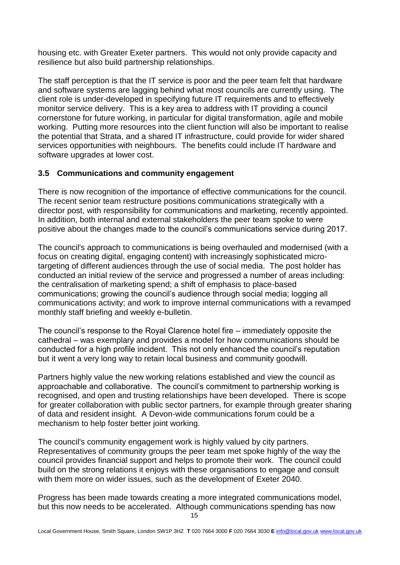housing etc. with Greater Exeter partners. This would not only provide capacity and resilience but also build partnership relationships.

The staff perception is that the IT service is poor and the peer team felt that hardware and software systems are lagging behind what most councils are currently using. The client role is under-developed in specifying future IT requirements and to effectively monitor service delivery. This is a key area to address with IT providing a council cornerstone for future working, in particular for digital transformation, agile and mobile working. Putting more resources into the client function will also be important to realise the potential that Strata, and a shared IT infrastructure, could provide for wider shared services opportunities with neighbours. The benefits could include IT hardware and software upgrades at lower cost.

#### **3.5 Communications and community engagement**

There is now recognition of the importance of effective communications for the council. The recent senior team restructure positions communications strategically with a director post, with responsibility for communications and marketing, recently appointed. In addition, both internal and external stakeholders the peer team spoke to were positive about the changes made to the council's communications service during 2017.

The council's approach to communications is being overhauled and modernised (with a focus on creating digital, engaging content) with increasingly sophisticated microtargeting of different audiences through the use of social media. The post holder has conducted an initial review of the service and progressed a number of areas including: the centralisation of marketing spend; a shift of emphasis to place-based communications; growing the council's audience through social media; logging all communications activity; and work to improve internal communications with a revamped monthly staff briefing and weekly e-bulletin.

The council's response to the Royal Clarence hotel fire – immediately opposite the cathedral – was exemplary and provides a model for how communications should be conducted for a high profile incident. This not only enhanced the council's reputation but it went a very long way to retain local business and community goodwill.

Partners highly value the new working relations established and view the council as approachable and collaborative. The council's commitment to partnership working is recognised, and open and trusting relationships have been developed. There is scope for greater collaboration with public sector partners, for example through greater sharing of data and resident insight. A Devon-wide communications forum could be a mechanism to help foster better joint working.

The council's community engagement work is highly valued by city partners. Representatives of community groups the peer team met spoke highly of the way the council provides financial support and helps to promote their work. The council could build on the strong relations it enjoys with these organisations to engage and consult with them more on wider issues, such as the development of Exeter 2040.

Progress has been made towards creating a more integrated communications model, but this now needs to be accelerated. Although communications spending has now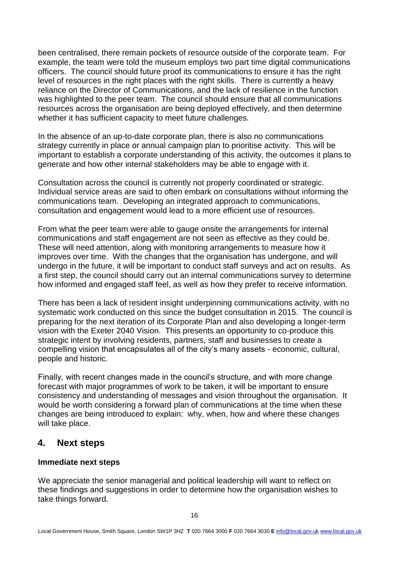been centralised, there remain pockets of resource outside of the corporate team. For example, the team were told the museum employs two part time digital communications officers. The council should future proof its communications to ensure it has the right level of resources in the right places with the right skills. There is currently a heavy reliance on the Director of Communications, and the lack of resilience in the function was highlighted to the peer team. The council should ensure that all communications resources across the organisation are being deployed effectively, and then determine whether it has sufficient capacity to meet future challenges.

In the absence of an up-to-date corporate plan, there is also no communications strategy currently in place or annual campaign plan to prioritise activity. This will be important to establish a corporate understanding of this activity, the outcomes it plans to generate and how other internal stakeholders may be able to engage with it.

Consultation across the council is currently not properly coordinated or strategic. Individual service areas are said to often embark on consultations without informing the communications team. Developing an integrated approach to communications, consultation and engagement would lead to a more efficient use of resources.

From what the peer team were able to gauge onsite the arrangements for internal communications and staff engagement are not seen as effective as they could be. These will need attention, along with monitoring arrangements to measure how it improves over time. With the changes that the organisation has undergone, and will undergo in the future, it will be important to conduct staff surveys and act on results. As a first step, the council should carry out an internal communications survey to determine how informed and engaged staff feel, as well as how they prefer to receive information.

There has been a lack of resident insight underpinning communications activity, with no systematic work conducted on this since the budget consultation in 2015. The council is preparing for the next iteration of its Corporate Plan and also developing a longer-term vision with the Exeter 2040 Vision. This presents an opportunity to co-produce this strategic intent by involving residents, partners, staff and businesses to create a compelling vision that encapsulates all of the city's many assets - economic, cultural, people and historic.

Finally, with recent changes made in the council's structure, and with more change forecast with major programmes of work to be taken, it will be important to ensure consistency and understanding of messages and vision throughout the organisation. It would be worth considering a forward plan of communications at the time when these changes are being introduced to explain: why, when, how and where these changes will take place.

## **4. Next steps**

## **Immediate next steps**

We appreciate the senior managerial and political leadership will want to reflect on these findings and suggestions in order to determine how the organisation wishes to take things forward.